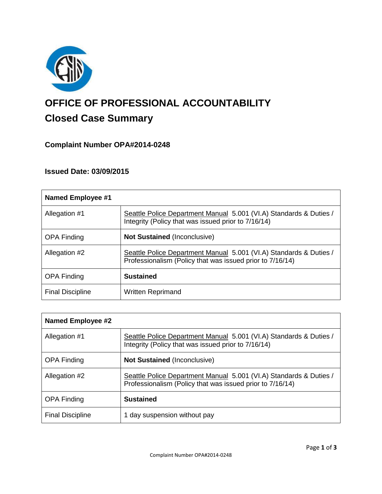

# **OFFICE OF PROFESSIONAL ACCOUNTABILITY Closed Case Summary**

# **Complaint Number OPA#2014-0248**

# **Issued Date: 03/09/2015**

| Named Employee #1       |                                                                                                                                 |
|-------------------------|---------------------------------------------------------------------------------------------------------------------------------|
| Allegation #1           | Seattle Police Department Manual 5.001 (VI.A) Standards & Duties /<br>Integrity (Policy that was issued prior to 7/16/14)       |
| <b>OPA Finding</b>      | <b>Not Sustained (Inconclusive)</b>                                                                                             |
| Allegation #2           | Seattle Police Department Manual 5.001 (VI.A) Standards & Duties /<br>Professionalism (Policy that was issued prior to 7/16/14) |
| <b>OPA Finding</b>      | <b>Sustained</b>                                                                                                                |
| <b>Final Discipline</b> | <b>Written Reprimand</b>                                                                                                        |

| <b>Named Employee #2</b> |                                                                                                                                 |
|--------------------------|---------------------------------------------------------------------------------------------------------------------------------|
| Allegation #1            | Seattle Police Department Manual 5.001 (VI.A) Standards & Duties /<br>Integrity (Policy that was issued prior to 7/16/14)       |
| <b>OPA Finding</b>       | <b>Not Sustained (Inconclusive)</b>                                                                                             |
| Allegation #2            | Seattle Police Department Manual 5.001 (VI.A) Standards & Duties /<br>Professionalism (Policy that was issued prior to 7/16/14) |
| <b>OPA Finding</b>       | <b>Sustained</b>                                                                                                                |
| <b>Final Discipline</b>  | 1 day suspension without pay                                                                                                    |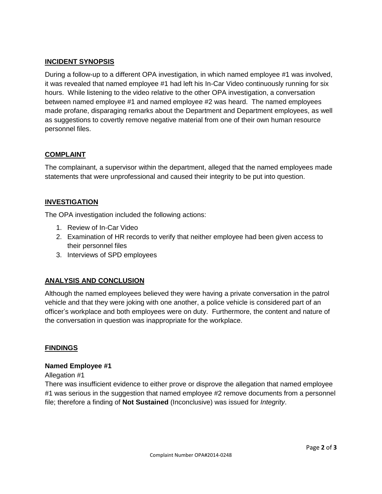## **INCIDENT SYNOPSIS**

During a follow-up to a different OPA investigation, in which named employee #1 was involved, it was revealed that named employee #1 had left his In-Car Video continuously running for six hours. While listening to the video relative to the other OPA investigation, a conversation between named employee #1 and named employee #2 was heard. The named employees made profane, disparaging remarks about the Department and Department employees, as well as suggestions to covertly remove negative material from one of their own human resource personnel files.

### **COMPLAINT**

The complainant, a supervisor within the department, alleged that the named employees made statements that were unprofessional and caused their integrity to be put into question.

### **INVESTIGATION**

The OPA investigation included the following actions:

- 1. Review of In-Car Video
- 2. Examination of HR records to verify that neither employee had been given access to their personnel files
- 3. Interviews of SPD employees

## **ANALYSIS AND CONCLUSION**

Although the named employees believed they were having a private conversation in the patrol vehicle and that they were joking with one another, a police vehicle is considered part of an officer's workplace and both employees were on duty. Furthermore, the content and nature of the conversation in question was inappropriate for the workplace.

### **FINDINGS**

#### **Named Employee #1**

#### Allegation #1

There was insufficient evidence to either prove or disprove the allegation that named employee #1 was serious in the suggestion that named employee #2 remove documents from a personnel file; therefore a finding of **Not Sustained** (Inconclusive) was issued for *Integrity*.